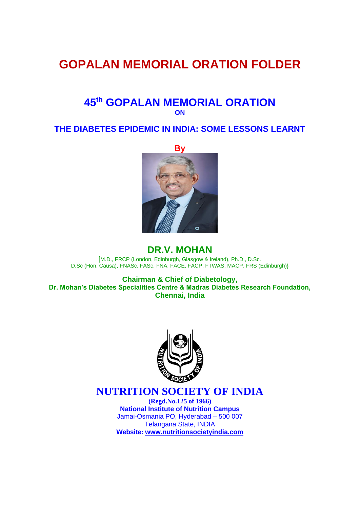# **GOPALAN MEMORIAL ORATION FOLDER**

### **45th GOPALAN MEMORIAL ORATION ON**

#### **THE DIABETES EPIDEMIC IN INDIA: SOME LESSONS LEARNT**



#### **DR.V. MOHAN**

[M.D., FRCP (London, Edinburgh, Glasgow & Ireland), Ph.D., D.Sc. D.Sc (Hon. Causa), FNASc, FASc, FNA, FACE, FACP, FTWAS, MACP, FRS (Edinburgh)}

**Chairman & Chief of Diabetology, Dr. Mohan's Diabetes Specialities Centre & Madras Diabetes Research Foundation, Chennai, India**



## **NUTRITION SOCIETY OF INDIA**

**(Regd.No.125 of 1966) National Institute of Nutrition Campus**  Jamai-Osmania PO, Hyderabad – 500 007 Telangana State, INDIA **Website: [www.nutritionsocietyindia.com](http://www.nutritionsocietyindia.com/)**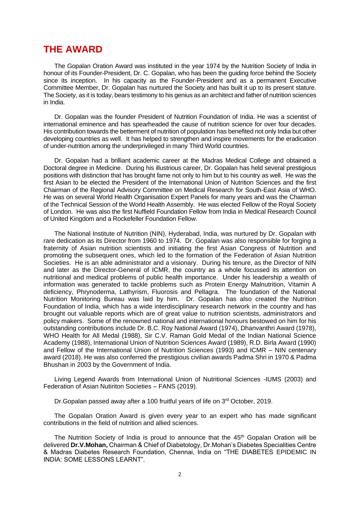#### **THE AWARD**

The Gopalan Oration Award was instituted in the year 1974 by the Nutrition Society of India in honour of its Founder-President, Dr. C. Gopalan, who has been the guiding force behind the Society since its inception. In his capacity as the Founder-President and as a permanent Executive Committee Member, Dr. Gopalan has nurtured the Society and has built it up to its present stature. The Society, as it is today, bears testimony to his genius as an architect and father of nutrition sciences in India.

Dr. Gopalan was the founder President of Nutrition Foundation of India. He was a scientist of international eminence and has spearheaded the cause of nutrition science for over four decades. His contribution towards the betterment of nutrition of population has benefited not only India but other developing countries as well. It has helped to strengthen and inspire movements for the eradication of under-nutrition among the underprivileged in many Third World countries.

Dr. Gopalan had a brilliant academic career at the Madras Medical College and obtained a Doctoral degree in Medicine. During his illustrious career, Dr. Gopalan has held several prestigious positions with distinction that has brought fame not only to him but to his country as well. He was the first Asian to be elected the President of the International Union of Nutrition Sciences and the first Chairman of the Regional Advisory Committee on Medical Research for South-East Asia of WHO. He was on several World Health Organisation Expert Panels for many years and was the Chairman of the Technical Session of the World Health Assembly. He was elected Fellow of the Royal Society of London. He was also the first Nuffield Foundation Fellow from India in Medical Research Council of United Kingdom and a Rockefeller Foundation Fellow.

The National Institute of Nutrition (NIN), Hyderabad, India, was nurtured by Dr. Gopalan with rare dedication as its Director from 1960 to 1974. Dr. Gopalan was also responsible for forging a fraternity of Asian nutrition scientists and initiating the first Asian Congress of Nutrition and promoting the subsequent ones, which led to the formation of the Federation of Asian Nutrition Societies. He is an able administrator and a visionary. During his tenure, as the Director of NIN and later as the Director-General of ICMR, the country as a whole focussed its attention on nutritional and medical problems of public health importance. Under his leadership a wealth of information was generated to tackle problems such as Protein Energy Malnutrition, Vitamin A deficiency, Phrynoderma, Lathyrism, Fluorosis and Pellagra. The foundation of the National Nutrition Monitoring Bureau was laid by him. Dr. Gopalan has also created the Nutrition Foundation of India, which has a wide interdisciplinary research network in the country and has brought out valuable reports which are of great value to nutrition scientists, administrators and policy makers. Some of the renowned national and international honours bestowed on him for his outstanding contributions include Dr. B.C. Roy National Award (1974), Dhanvanthri Award (1978), WHO Health for All Medal (1988), Sir C.V. Raman Gold Medal of the Indian National Science Academy (1988), International Union of Nutrition Sciences Award (1989), R.D. Birla Award (1990) and Fellow of the International Union of Nutrition Sciences (1993) and ICMR – NIN centenary award (2018). He was also conferred the prestigious civilian awards Padma Shri in 1970 & Padma Bhushan in 2003 by the Government of India.

Living Legend Awards from International Union of Nutritional Sciences -IUMS (2003) and Federation of Asian Nutiriton Societies – FANS (2019).

Dr. Gopalan passed away after a 100 fruitful years of life on 3<sup>rd</sup> October, 2019.

The Gopalan Oration Award is given every year to an expert who has made significant contributions in the field of nutrition and allied sciences.

The Nutrition Society of India is proud to announce that the 45<sup>th</sup> Gopalan Oration will be delivered **Dr.V.Mohan,** Chairman & Chief of Diabetology, Dr.Mohan's Diabetes Specialities Centre & Madras Diabetes Research Foundation, Chennai, India on "THE DIABETES EPIDEMIC IN INDIA: SOME LESSONS LEARNT".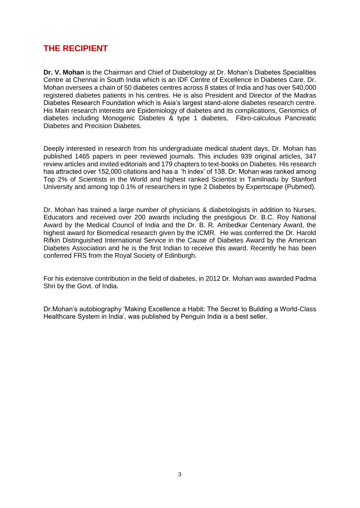### **THE RECIPIENT**

**Dr. V. Mohan** is the Chairman and Chief of Diabetology at Dr. Mohan's Diabetes Specialities Centre at Chennai in South India which is an IDF Centre of Excellence in Diabetes Care. Dr. Mohan oversees a chain of 50 diabetes centres across 8 states of India and has over 540,000 registered diabetes patients in his centres. He is also President and Director of the Madras Diabetes Research Foundation which is Asia's largest stand-alone diabetes research centre. His Main research interests are Epidemiology of diabetes and its complications, Genomics of diabetes including Monogenic Diabetes & type 1 diabetes, Fibro-calculous Pancreatic Diabetes and Precision Diabetes.

Deeply interested in research from his undergraduate medical student days, Dr. Mohan has published 1465 papers in peer reviewed journals. This includes 939 original articles, 347 review articles and invited editorials and 179 chapters to text-books on Diabetes. His research has attracted over 152,000 citations and has a 'h index' of 138. Dr. Mohan was ranked among Top 2% of Scientists in the World and highest ranked Scientist in Tamilnadu by Stanford University and among top 0.1% of researchers in type 2 Diabetes by Expertscape (Pubmed).

Dr. Mohan has trained a large number of physicians & diabetologists in addition to Nurses, Educators and received over 200 awards including the prestigious Dr. B.C. Roy National Award by the Medical Council of India and the Dr. B. R. Ambedkar Centenary Award, the highest award for Biomedical research given by the ICMR. He was conferred the Dr. Harold Rifkin Distinguished International Service in the Cause of Diabetes Award by the American Diabetes Association and he is the first Indian to receive this award. Recently he has been conferred FRS from the Royal Society of Edinburgh.

For his extensive contribution in the field of diabetes, in 2012 Dr. Mohan was awarded Padma Shri by the Govt. of India.

Dr.Mohan's autobiography 'Making Excellence a Habit: The Secret to Building a World-Class Healthcare System in India', was published by Penguin India is a best seller.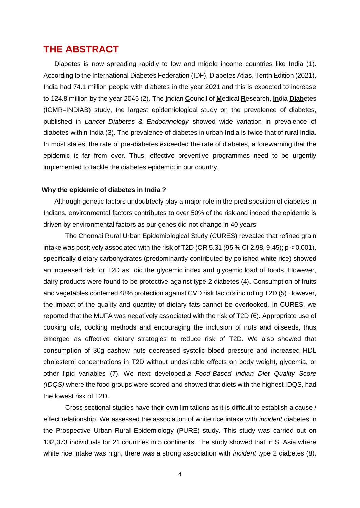#### **THE ABSTRACT**

Diabetes is now spreading rapidly to low and middle income countries like India (1). According to the International Diabetes Federation (IDF), Diabetes Atlas, Tenth Edition (2021), India had 74.1 million people with diabetes in the year 2021 and this is expected to increase to 124.8 million by the year 2045 (2). The **I**ndian **C**ouncil of **M**edical **R**esearch, **In**dia **Diab**etes (ICMR–INDIAB) study, the largest epidemiological study on the prevalence of diabetes, published in *Lancet Diabetes & Endocrinology* showed wide variation in prevalence of diabetes within India (3). The prevalence of diabetes in urban India is twice that of rural India. In most states, the rate of pre-diabetes exceeded the rate of diabetes, a forewarning that the epidemic is far from over. Thus, effective preventive programmes need to be urgently implemented to tackle the diabetes epidemic in our country.

#### **Why the epidemic of diabetes in India ?**

Although genetic factors undoubtedly play a major role in the predisposition of diabetes in Indians, environmental factors contributes to over 50% of the risk and indeed the epidemic is driven by environmental factors as our genes did not change in 40 years.

The Chennai Rural Urban Epidemiological Study (CURES) revealed that refined grain intake was positively associated with the risk of T2D (OR 5.31 (95 % CI 2.98, 9.45); p < 0.001), specifically dietary carbohydrates (predominantly contributed by polished white rice) showed an increased risk for T2D as did the glycemic index and glycemic load of foods. However, dairy products were found to be protective against type 2 diabetes (4). Consumption of fruits and vegetables conferred 48% protection against CVD risk factors including T2D (5) However, the impact of the quality and quantity of dietary fats cannot be overlooked. In CURES, we reported that the MUFA was negatively associated with the risk of T2D (6). Appropriate use of cooking oils, cooking methods and encouraging the inclusion of nuts and oilseeds, thus emerged as effective dietary strategies to reduce risk of T2D. We also showed that consumption of 30g cashew nuts decreased systolic blood pressure and increased HDL cholesterol concentrations in T2D without undesirable effects on body weight, glycemia, or other lipid variables (7). We next developed *a Food-Based Indian Diet Quality Score (IDQS)* where the food groups were scored and showed that diets with the highest IDQS, had the lowest risk of T2D.

Cross sectional studies have their own limitations as it is difficult to establish a cause / effect relationship. We assessed the association of white rice intake with *incident* diabetes in the Prospective Urban Rural Epidemiology (PURE) study. This study was carried out on 132,373 individuals for 21 countries in 5 continents. The study showed that in S. Asia where white rice intake was high, there was a strong association with *incident* type 2 diabetes (8).

4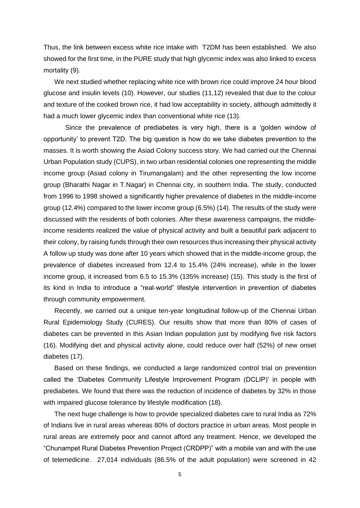Thus, the link between excess white rice intake with T2DM has been established. We also showed for the first time, in the PURE study that high glycemic index was also linked to excess mortality (9).

We next studied whether replacing white rice with brown rice could improve 24 hour blood glucose and insulin levels (10). However, our studies (11,12) revealed that due to the colour and texture of the cooked brown rice, it had low acceptability in society, although admittedly it had a much lower glycemic index than conventional white rice (13).

Since the prevalence of prediabetes is very high, there is a 'golden window of opportunity' to prevent T2D. The big question is how do we take diabetes prevention to the masses. It is worth showing the Asiad Colony success story. We had carried out the Chennai Urban Population study (CUPS), in two urban residential colonies one representing the middle income group (Asiad colony in Tirumangalam) and the other representing the low income group (Bharathi Nagar in T.Nagar) in Chennai city, in southern India. The study, conducted from 1996 to 1998 showed a significantly higher prevalence of diabetes in the middle-income group (12.4%) compared to the lower income group (6.5%) (14). The results of the study were discussed with the residents of both colonies. After these awareness campaigns, the middleincome residents realized the value of physical activity and built a beautiful park adjacent to their colony, by raising funds through their own resources thus increasing their physical activity A follow up study was done after 10 years which showed that in the middle-income group, the prevalence of diabetes increased from 12.4 to 15.4% (24% increase), while in the lower income group, it increased from 6.5 to 15.3% (135% increase) (15). This study is the first of its kind in India to introduce a "real-world" lifestyle intervention in prevention of diabetes through community empowerment.

Recently, we carried out a unique ten-year longitudinal follow-up of the Chennai Urban Rural Epidemiology Study (CURES). Our results show that more than 80% of cases of diabetes can be prevented in this Asian Indian population just by modifying five risk factors (16). Modifying diet and physical activity alone, could reduce over half (52%) of new onset diabetes (17).

Based on these findings, we conducted a large randomized control trial on prevention called the 'Diabetes Community Lifestyle Improvement Program (DCLIP)' in people with prediabetes. We found that there was the reduction of incidence of diabetes by 32% in those with impaired glucose tolerance by lifestyle modification (18).

The next huge challenge is how to provide specialized diabetes care to rural India as 72% of Indians live in rural areas whereas 80% of doctors practice in urban areas. Most people in rural areas are extremely poor and cannot afford any treatment. Hence, we developed the "Chunampet Rural Diabetes Prevention Project (CRDPP)" with a mobile van and with the use of telemedicine. 27,014 individuals (86.5% of the adult population) were screened in 42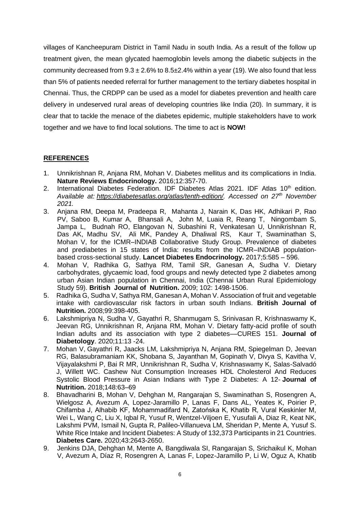villages of Kancheepuram District in Tamil Nadu in south India. As a result of the follow up treatment given, the mean glycated haemoglobin levels among the diabetic subjects in the community decreased from  $9.3 \pm 2.6\%$  to  $8.5 \pm 2.4\%$  within a year (19). We also found that less than 5% of patients needed referral for further management to the tertiary diabetes hospital in Chennai. Thus, the CRDPP can be used as a model for diabetes prevention and health care delivery in undeserved rural areas of developing countries like India (20). In summary, it is clear that to tackle the menace of the diabetes epidemic, multiple stakeholders have to work together and we have to find local solutions. The time to act is **NOW!**

#### **REFERENCES**

- 1. Unnikrishnan R, Anjana RM, Mohan V. Diabetes mellitus and its complications in India. **Nature Reviews Endocrinology.** 2016;12:357-70.
- 2. International Diabetes Federation. IDF Diabetes Atlas 2021. IDF Atlas  $10<sup>th</sup>$  edition. *Available at: [https://diabetesatlas.org/atlas/tenth-edition/.](https://diabetesatlas.org/atlas/tenth-edition/) Accessed on 27th November 2021.*
- 3. Anjana RM, Deepa M, Pradeepa R, Mahanta J, Narain K, Das HK, Adhikari P, Rao PV, Saboo B, Kumar A, Bhansali A, John M, Luaia R, Reang T, Ningombam S, Jampa L, Budnah RO, Elangovan N, Subashini R, Venkatesan U, Unnikrishnan R, Das AK, Madhu SV, Ali MK, Pandey A, Dhaliwal RS, Kaur T, Swaminathan S, Mohan V, for the ICMR–INDIAB Collaborative Study Group. Prevalence of diabetes and prediabetes in 15 states of India: results from the ICMR–INDIAB populationbased cross-sectional study. **Lancet Diabetes Endocrinology.** 2017;5:585 – 596.
- 4. Mohan V, Radhika G, Sathya RM, Tamil SR, Ganesan A, Sudha V. [Dietary](http://www.ncbi.nlm.nih.gov/pubmed/19586573?ordinalpos=1&itool=EntrezSystem2.PEntrez.Pubmed.Pubmed_ResultsPanel.Pubmed_DefaultReportPanel.Pubmed_RVDocSum)  [carbohydrates, glycaemic load, food groups and newly detected type 2 diabetes among](http://www.ncbi.nlm.nih.gov/pubmed/19586573?ordinalpos=1&itool=EntrezSystem2.PEntrez.Pubmed.Pubmed_ResultsPanel.Pubmed_DefaultReportPanel.Pubmed_RVDocSum)  [urban Asian Indian population in Chennai, India \(Chennai Urban Rural Epidemiology](http://www.ncbi.nlm.nih.gov/pubmed/19586573?ordinalpos=1&itool=EntrezSystem2.PEntrez.Pubmed.Pubmed_ResultsPanel.Pubmed_DefaultReportPanel.Pubmed_RVDocSum)  [Study 59\).](http://www.ncbi.nlm.nih.gov/pubmed/19586573?ordinalpos=1&itool=EntrezSystem2.PEntrez.Pubmed.Pubmed_ResultsPanel.Pubmed_DefaultReportPanel.Pubmed_RVDocSum) **British Journal of Nutrition.** 2009; 102: 1498-1506.
- 5. Radhika G, Sudha V, Sathya RM, Ganesan A, Mohan V. Association of fruit and vegetable intake with cardiovascular risk factors in urban south Indians. **British Journal of Nutrition.** 2008;99:398-405.
- 6. Lakshmipriya N, Sudha V, Gayathri R, Shanmugam S, Srinivasan R, Krishnaswamy K, Jeevan RG, Unnikrishnan R, Anjana RM, Mohan V. Dietary fatty-acid profile of south Indian adults and its association with type 2 diabetes––CURES 151. **Journal of Diabetology**. 2020;11:13 -24.
- 7. Mohan V, Gayathri R, Jaacks LM, Lakshmipriya N, Anjana RM, Spiegelman D, Jeevan RG, Balasubramaniam KK, Shobana S, Jayanthan M, Gopinath V, Divya S, Kavitha V, Vijayalakshmi P, Bai R MR, Unnikrishnan R, Sudha V, Krishnaswamy K, Salas-Salvadó J, Willett WC. Cashew Nut Consumption Increases HDL Cholesterol And Reduces Systolic Blood Pressure in Asian Indians with Type 2 Diabetes: A 12- **Journal of Nutrition.** 2018;148:63–69
- 8. Bhavadharini B, Mohan V, Dehghan M, Rangarajan S, Swaminathan S, Rosengren A, Wielgosz A, Avezum A, Lopez-Jaramillo P, Lanas F, Dans AL, Yeates K, Poirier P, Chifamba J, Alhabib KF, Mohammadifard N, Zatońska K, Khatib R, Vural Keskinler M, Wei L, Wang C, Liu X, Iqbal R, Yusuf R, Wentzel-Viljoen E, Yusufali A, Diaz R, Keat NK, Lakshmi PVM, Ismail N, Gupta R, Palileo-Villanueva LM, Sheridan P, Mente A, Yusuf S. White Rice Intake and Incident Diabetes: A Study of 132,373 Participants in 21 Countries. **Diabetes Care.** 2020;43:2643-2650.
- 9. Jenkins DJA, Dehghan M, Mente A, Bangdiwala SI, Rangarajan S, Srichaikul K, Mohan V, Avezum A, Díaz R, Rosengren A, Lanas F, Lopez-Jaramillo P, Li W, Oguz A, Khatib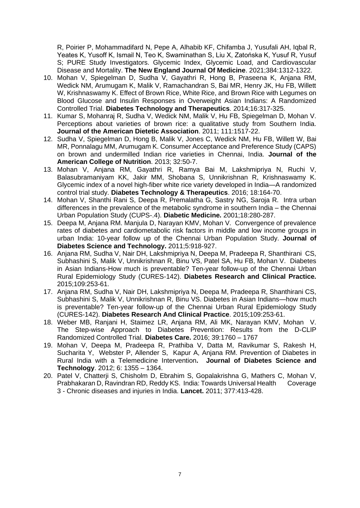R, Poirier P, Mohammadifard N, Pepe A, Alhabib KF, Chifamba J, Yusufali AH, Iqbal R, Yeates K, Yusoff K, Ismail N, Teo K, Swaminathan S, Liu X, Zatońska K, Yusuf R, Yusuf S; PURE Study Investigators. Glycemic Index, Glycemic Load, and Cardiovascular Disease and Mortality. **The New England Journal Of Medicine**. 2021;384:1312-1322.

- 10. Mohan V, Spiegelman D, Sudha V, Gayathri R, Hong B, Praseena K, Anjana RM, Wedick NM, Arumugam K, Malik V, Ramachandran S, Bai MR, Henry JK, Hu FB, Willett W, Krishnaswamy K. Effect of Brown Rice, White Rice, and Brown Rice with Legumes on Blood Glucose and Insulin Responses in Overweight Asian Indians: A Randomized Controlled Trial. **Diabetes Technology and Therapeutics**. 2014;16:317-325.
- 11. Kumar S, Mohanraj R, Sudha V, Wedick NM, Malik V, Hu FB, Spiegelman D, Mohan V. Perceptions about varieties of brown rice: a qualitative study from Southern India. **Journal of the American Dietetic Association**. 2011; 111:1517-22.
- 12. Sudha V, Spiegelman D, Hong B, Malik V, Jones C, Wedick NM, Hu FB, Willett W, Bai MR, Ponnalagu MM, Arumugam K. Consumer Acceptance and Preference Study (CAPS) on brown and undermilled Indian rice varieties in Chennai, India. **Journal of the American College of Nutrition**. 2013; 32:50-7.
- 13. Mohan V, Anjana RM, Gayathri R, Ramya Bai M, Lakshmipriya N, Ruchi V, Balasubramaniyam KK, Jakir MM, Shobana S, Unnikrishnan R, Krishnaswamy K. Glycemic index of a novel high-fiber white rice variety developed in India—A randomized control trial study. **Diabetes Technology & Therapeutics**. 2016; 18:164-70.
- 14. Mohan V, Shanthi Rani S, Deepa R, Premalatha G, Sastry NG, Saroja R. Intra urban differences in the prevalence of the metabolic syndrome in southern India – the Chennai Urban Population Study (CUPS-.4). **Diabetic Medicine.** 2001;18:280-287.
- 15. Deepa M, Anjana RM. Manjula D, Narayan KMV, Mohan V. Convergence of prevalence rates of diabetes and cardiometabolic risk factors in middle and low income groups in urban India: 10-year follow up of the Chennai Urban Population Study. **Journal of Diabetes Science and Technology.** 2011;5:918-927.
- 16. Anjana RM, Sudha V, Nair DH, Lakshmipriya N, Deepa M, Pradeepa R, Shanthirani CS, Subhashini S, Malik V, Unnikrishnan R, Binu VS, Patel SA, Hu FB, Mohan V. Diabetes in Asian Indians-How much is preventable? Ten-year follow-up of the Chennai Urban Rural Epidemiology Study (CURES-142). **Diabetes Research and Clinical Practice.** 2015;109:253-61.
- 17. Anjana RM, Sudha V, Nair DH, Lakshmipriya N, Deepa M, Pradeepa R, Shanthirani CS, Subhashini S, Malik V, Unnikrishnan R, Binu VS. Diabetes in Asian Indians—how much is preventable? Ten-year follow-up of the Chennai Urban Rural Epidemiology Study (CURES-142). **Diabetes Research And Clinical Practice**. 2015;109:253-61.
- 18. Weber MB, Ranjani H, Staimez LR, Anjana RM, Ali MK, Narayan KMV, Mohan V. The Step-wise Approach to Diabetes Prevention: Results from the D-CLIP Randomized Controlled Trial. **Diabetes Care.** 2016; 39:1760 – 1767
- 19. Mohan V, Deepa M, Pradeepa R, Prathiba V, Datta M, Ravikumar S, Rakesh H, Sucharita Y, Webster P, Allender S, Kapur A, Anjana RM. Prevention of Diabetes in Rural India with a Telemedicine Intervention**. Journal of Diabetes Science and Technology**. 2012; 6: 1355 – 1364.
- 20. Patel V, Chatterji S, Chisholm D, Ebrahim S, Gopalakrishna G, Mathers C, Mohan V, Prabhakaran D, Ravindran RD, Reddy KS. India: Towards Universal Health Coverage 3 - Chronic diseases and injuries in India. **Lancet.** 2011; 377:413-428.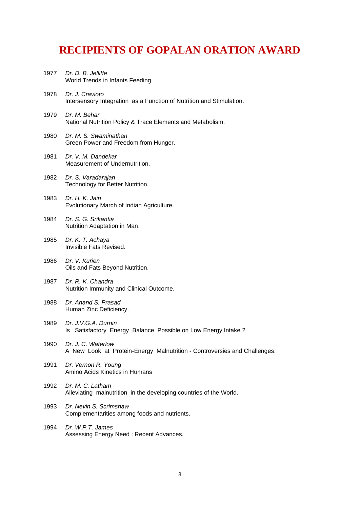## **RECIPIENTS OF GOPALAN ORATION AWARD**

- 1977 *Dr. D. B. Jelliffe* World Trends in Infants Feeding. 1978 *Dr. J. Cravioto* Intersensory Integration as a Function of Nutrition and Stimulation.
- 1979 *Dr. M. Behar* National Nutrition Policy & Trace Elements and Metabolism.
- 1980 *Dr. M. S. Swaminathan* Green Power and Freedom from Hunger.
- 1981 *Dr. V. M. Dandekar* Measurement of Undernutrition.
- 1982 *Dr. S. Varadarajan* Technology for Better Nutrition.
- 1983 *Dr. H. K. Jain* Evolutionary March of Indian Agriculture.
- 1984 *Dr. S. G. Srikantia*  Nutrition Adaptation in Man.
- 1985 *Dr. K. T. Achaya* Invisible Fats Revised.
- 1986 *Dr. V. Kurien*  Oils and Fats Beyond Nutrition.
- 1987 *Dr. R. K. Chandra* Nutrition Immunity and Clinical Outcome.
- 1988 *Dr. Anand S. Prasad*  Human Zinc Deficiency.
- 1989 *Dr. J.V.G.A. Durnin*  Is Satisfactory Energy Balance Possible on Low Energy Intake ?
- 1990 *Dr. J. C. Waterlow*  A New Look at Protein-Energy Malnutrition - Controversies and Challenges.
- 1991 *Dr. Vernon R. Young*  Amino Acids Kinetics in Humans
- 1992 *Dr. M. C. Latham*  Alleviating malnutrition in the developing countries of the World.
- 1993 *Dr. Nevin S. Scrimshaw*  Complementarities among foods and nutrients.
- 1994 *Dr. W.P.T. James*  Assessing Energy Need : Recent Advances.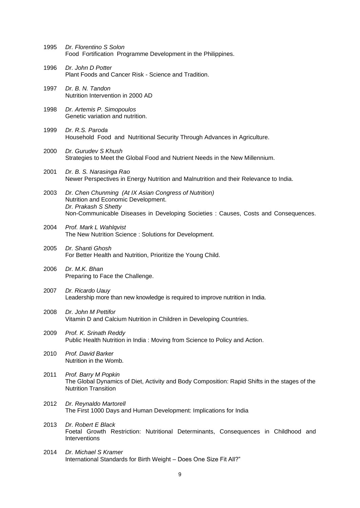| 1995 | Dr. Florentino S Solon<br>Food Fortification Programme Development in the Philippines.                                                                                                                      |
|------|-------------------------------------------------------------------------------------------------------------------------------------------------------------------------------------------------------------|
| 1996 | Dr. John D Potter<br>Plant Foods and Cancer Risk - Science and Tradition.                                                                                                                                   |
| 1997 | Dr. B. N. Tandon<br>Nutrition Intervention in 2000 AD                                                                                                                                                       |
| 1998 | Dr. Artemis P. Simopoulos<br>Genetic variation and nutrition.                                                                                                                                               |
| 1999 | Dr. R.S. Paroda<br>Household Food and Nutritional Security Through Advances in Agriculture.                                                                                                                 |
| 2000 | Dr. Gurudev S Khush<br>Strategies to Meet the Global Food and Nutrient Needs in the New Millennium.                                                                                                         |
| 2001 | Dr. B. S. Narasinga Rao<br>Newer Perspectives in Energy Nutrition and Malnutrition and their Relevance to India.                                                                                            |
| 2003 | Dr. Chen Chunming (At IX Asian Congress of Nutrition)<br>Nutrition and Economic Development.<br>Dr. Prakash S Shetty<br>Non-Communicable Diseases in Developing Societies : Causes, Costs and Consequences. |
| 2004 | Prof. Mark L Wahlqvist<br>The New Nutrition Science : Solutions for Development.                                                                                                                            |
| 2005 | Dr. Shanti Ghosh<br>For Better Health and Nutrition, Prioritize the Young Child.                                                                                                                            |
| 2006 | Dr. M.K. Bhan<br>Preparing to Face the Challenge.                                                                                                                                                           |
| 2007 | Dr. Ricardo Uauy<br>Leadership more than new knowledge is required to improve nutrition in India.                                                                                                           |
| 2008 | Dr. John M Pettifor<br>Vitamin D and Calcium Nutrition in Children in Developing Countries.                                                                                                                 |
| 2009 | Prof. K. Srinath Reddy<br>Public Health Nutrition in India: Moving from Science to Policy and Action.                                                                                                       |
| 2010 | Prof. David Barker<br>Nutrition in the Womb.                                                                                                                                                                |
| 2011 | Prof. Barry M Popkin<br>The Global Dynamics of Diet, Activity and Body Composition: Rapid Shifts in the stages of the<br><b>Nutrition Transition</b>                                                        |
| 2012 | Dr. Reynaldo Martorell<br>The First 1000 Days and Human Development: Implications for India                                                                                                                 |
| 2013 | Dr. Robert E Black<br>Foetal Growth Restriction: Nutritional Determinants, Consequences in Childhood and<br>Interventions                                                                                   |
| 2014 | Dr. Michael S Kramer<br>International Standards for Birth Weight - Does One Size Fit All?"                                                                                                                  |